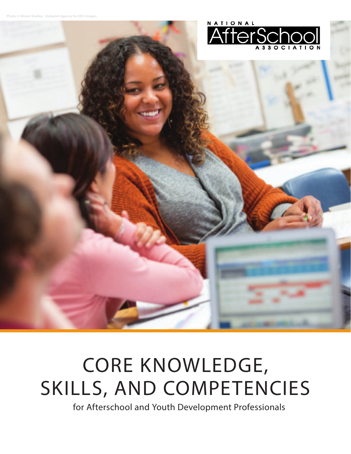

# CORE KNOWLEDGE, SKILLS, AND COMPETENCIES

for Afterschool and Youth Development Professionals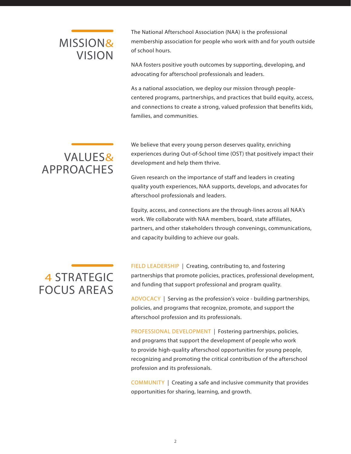# VISION MISSION&

The National Afterschool Association (NAA) is the professional membership association for people who work with and for youth outside of school hours.

NAA fosters positive youth outcomes by supporting, developing, and advocating for afterschool professionals and leaders.

As a national association, we deploy our mission through peoplecentered programs, partnerships, and practices that build equity, access, and connections to create a strong, valued profession that benefits kids, families, and communities.

# APPROACHES VALUES&

We believe that every young person deserves quality, enriching experiences during Out-of-School time (OST) that positively impact their development and help them thrive.

Given research on the importance of staff and leaders in creating quality youth experiences, NAA supports, develops, and advocates for afterschool professionals and leaders.

Equity, access, and connections are the through-lines across all NAA's work. We collaborate with NAA members, board, state affiliates, partners, and other stakeholders through convenings, communications, and capacity building to achieve our goals.

# FOCUS AREAS 4 STRATEGIC

FIELD LEADERSHIP | Creating, contributing to, and fostering partnerships that promote policies, practices, professional development, and funding that support professional and program quality.

ADVOCACY | Serving as the profession's voice - building partnerships, policies, and programs that recognize, promote, and support the afterschool profession and its professionals.

PROFESSIONAL DEVELOPMENT | Fostering partnerships, policies, and programs that support the development of people who work to provide high-quality afterschool opportunities for young people, recognizing and promoting the critical contribution of the afterschool profession and its professionals.

COMMUNITY | Creating a safe and inclusive community that provides opportunities for sharing, learning, and growth.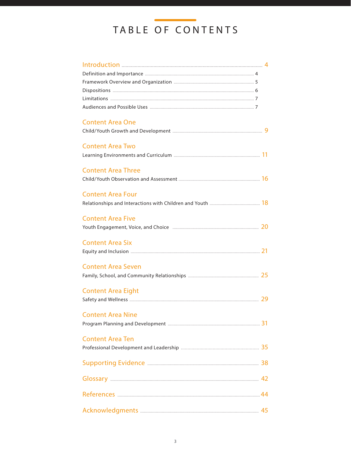# TABLE OF CONTENTS

| <b>Content Area One</b>   |  |
|---------------------------|--|
|                           |  |
|                           |  |
| <b>Content Area Two</b>   |  |
|                           |  |
|                           |  |
| <b>Content Area Three</b> |  |
|                           |  |
|                           |  |
| <b>Content Area Four</b>  |  |
|                           |  |
| <b>Content Area Five</b>  |  |
|                           |  |
|                           |  |
| <b>Content Area Six</b>   |  |
|                           |  |
|                           |  |
| <b>Content Area Seven</b> |  |
|                           |  |
| <b>Content Area Eight</b> |  |
|                           |  |
|                           |  |
| <b>Content Area Nine</b>  |  |
|                           |  |
|                           |  |
| <b>Content Area Ten</b>   |  |
|                           |  |
|                           |  |
|                           |  |
|                           |  |
|                           |  |
|                           |  |
|                           |  |
|                           |  |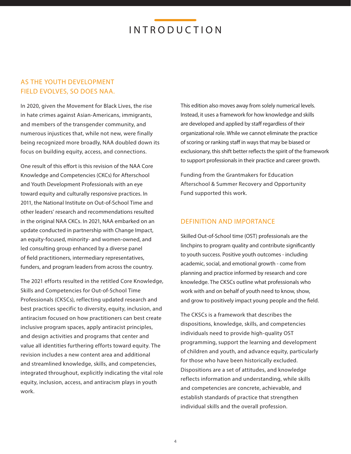### AS THE YOUTH DEVELOPMENT FIELD EVOLVES, SO DOES NAA.

In 2020, given the Movement for Black Lives, the rise in hate crimes against Asian-Americans, immigrants, and members of the transgender community, and numerous injustices that, while not new, were finally being recognized more broadly, NAA doubled down its focus on building equity, access, and connections.

One result of this effort is this revision of the NAA Core Knowledge and Competencies (CKCs) for Afterschool and Youth Development Professionals with an eye toward equity and culturally responsive practices. In 2011, the National Institute on Out-of-School Time and other leaders' research and recommendations resulted in the original NAA CKCs. In 2021, NAA embarked on an update conducted in partnership with Change Impact, an equity-focused, minority- and women-owned, and led consulting group enhanced by a diverse panel of field practitioners, intermediary representatives, funders, and program leaders from across the country.

The 2021 efforts resulted in the retitled Core Knowledge, Skills and Competencies for Out-of-School Time Professionals (CKSCs), reflecting updated research and best practices specific to diversity, equity, inclusion, and antiracism focused on how practitioners can best create inclusive program spaces, apply antiracist principles, and design activities and programs that center and value all identities furthering efforts toward equity. The revision includes a new content area and additional and streamlined knowledge, skills, and competencies, integrated throughout, explicitly indicating the vital role equity, inclusion, access, and antiracism plays in youth work.

This edition also moves away from solely numerical levels. Instead, it uses a framework for how knowledge and skills are developed and applied by staff regardless of their organizational role. While we cannot eliminate the practice of scoring or ranking staff in ways that may be biased or exclusionary, this shift better reflects the spirit of the framework to support professionals in their practice and career growth.

Funding from the Grantmakers for Education Afterschool & Summer Recovery and Opportunity Fund supported this work.

### DEFINITION AND IMPORTANCE

Skilled Out-of-School time (OST) professionals are the linchpins to program quality and contribute significantly to youth success. Positive youth outcomes - including academic, social, and emotional growth - come from planning and practice informed by research and core knowledge. The CKSCs outline what professionals who work with and on behalf of youth need to know, show, and grow to positively impact young people and the field.

The CKSCs is a framework that describes the dispositions, knowledge, skills, and competencies individuals need to provide high-quality OST programming, support the learning and development of children and youth, and advance equity, particularly for those who have been historically excluded. Dispositions are a set of attitudes, and knowledge reflects information and understanding, while skills and competencies are concrete, achievable, and establish standards of practice that strengthen individual skills and the overall profession.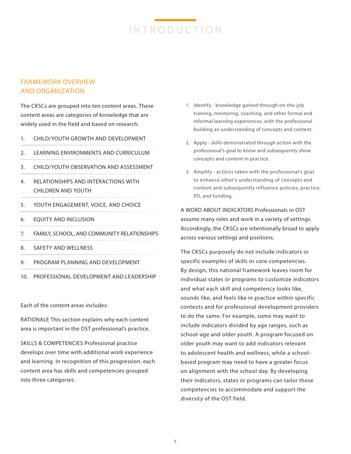### FRAMEWORK OVERVIEW AND ORGANIZATION

The CKSCs are grouped into ten content areas. These content areas are categories of knowledge that are widely used in the field and based on research.

- 1. CHILD/YOUTH GROWTH AND DEVELOPMENT
- 2. LEARNING ENVIRONMENTS AND CURRICULUM
- 3. CHILD/YOUTH OBSERVATION AND ASSESSMENT
- 4. RELATIONSHIPS AND INTERACTIONS WITH CHILDREN AND YOUTH
- 5. YOUTH ENGAGEMENT, VOICE, AND CHOICE
- 6. EQUITY AND INCLUSION
- 7. FAMILY, SCHOOL, AND COMMUNITY RELATIONSHIPS
- 8. SAFETY AND WELLNESS
- 9. PROGRAM PLANNING AND DEVELOPMENT
- 10. PROFESSIONAL DEVELOPMENT AND LEADERSHIP

Each of the content areas includes:

RATIONALE This section explains why each content area is important in the OST professional's practice.

SKILLS & COMPETENCIES Professional practice develops over time with additional work experience and learning. In recognition of this progression, each content area has skills and competencies grouped into three categories:

- 1. Identify knowledge gained through on-the-job training, mentoring, coaching, and other formal and informal learning experiences, with the professional building an understanding of concepts and content.
- 2. Apply skills demonstrated through action with the professional's goal to know and subsequently show concepts and content in practice.
- 3. Amplify actions taken with the professional's goal to enhance other's understanding of concepts and content and subsequently influence policies, practice, PD, and funding.

A WORD ABOUT INDICATORS Professionals in OST assume many roles and work in a variety of settings. Accordingly, the CKSCs are intentionally broad to apply across various settings and positions.

The CKSCs purposely do not include indicators or specific examples of skills or core competencies. By design, this national framework leaves room for individual states or programs to customize indicators and what each skill and competency looks like, sounds like, and feels like in practice within specific contexts and for professional development providers to do the same. For example, some may want to include indicators divided by age ranges, such as school-age and older youth. A program focused on older youth may want to add indicators relevant to adolescent health and wellness, while a schoolbased program may need to have a greater focus on alignment with the school day. By developing their indicators, states or programs can tailor these competencies to accommodate and support the diversity of the OST field.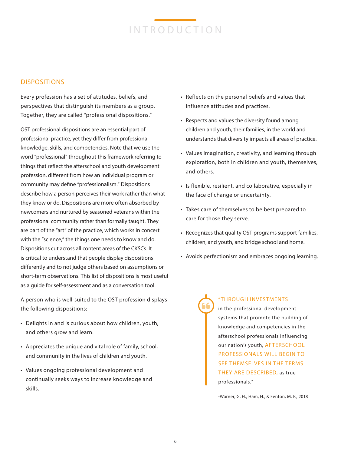### DISPOSITIONS

Every profession has a set of attitudes, beliefs, and perspectives that distinguish its members as a group. Together, they are called "professional dispositions."

OST professional dispositions are an essential part of professional practice, yet they differ from professional knowledge, skills, and competencies. Note that we use the word "professional" throughout this framework referring to things that reflect the afterschool and youth development profession, different from how an individual program or community may define "professionalism." Dispositions describe how a person perceives their work rather than what they know or do. Dispositions are more often absorbed by newcomers and nurtured by seasoned veterans within the professional community rather than formally taught. They are part of the "art" of the practice, which works in concert with the "science," the things one needs to know and do. Dispositions cut across all content areas of the CKSCs. It is critical to understand that people display dispositions differently and to not judge others based on assumptions or short-term observations. This list of dispositions is most useful as a guide for self-assessment and as a conversation tool.

A person who is well-suited to the OST profession displays the following dispositions:

- Delights in and is curious about how children, youth, and others grow and learn.
- Appreciates the unique and vital role of family, school, and community in the lives of children and youth.
- Values ongoing professional development and continually seeks ways to increase knowledge and skills.
- Reflects on the personal beliefs and values that influence attitudes and practices.
- Respects and values the diversity found among children and youth, their families, in the world and understands that diversity impacts all areas of practice.
- Values imagination, creativity, and learning through exploration, both in children and youth, themselves, and others.
- Is flexible, resilient, and collaborative, especially in the face of change or uncertainty.
- Takes care of themselves to be best prepared to care for those they serve.
- Recognizes that quality OST programs support families, children, and youth, and bridge school and home.
- Avoids perfectionism and embraces ongoing learning.

"THROUGH INVESTMENTS in the professional development systems that promote the building of knowledge and competencies in the afterschool professionals influencing our nation's youth, AFTERSCHOOL PROFESSIONALS WILL BEGIN TO SEE THEMSELVES IN THE TERMS THEY ARE DESCRIBED, as true professionals."

-Warner, G. H., Ham, H., & Fenton, M. P., 2018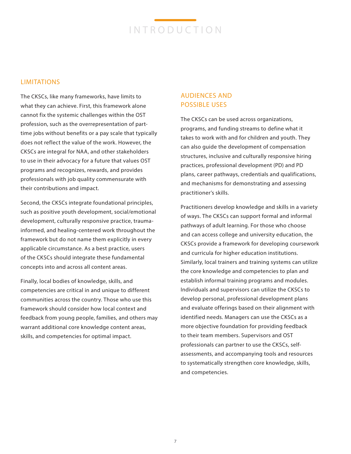### LIMITATIONS

The CKSCs, like many frameworks, have limits to what they can achieve. First, this framework alone cannot fix the systemic challenges within the OST profession, such as the overrepresentation of parttime jobs without benefits or a pay scale that typically does not reflect the value of the work. However, the CKSCs are integral for NAA, and other stakeholders to use in their advocacy for a future that values OST programs and recognizes, rewards, and provides professionals with job quality commensurate with their contributions and impact.

Second, the CKSCs integrate foundational principles, such as positive youth development, social/emotional development, culturally responsive practice, traumainformed, and healing-centered work throughout the framework but do not name them explicitly in every applicable circumstance. As a best practice, users of the CKSCs should integrate these fundamental concepts into and across all content areas.

Finally, local bodies of knowledge, skills, and competencies are critical in and unique to different communities across the country. Those who use this framework should consider how local context and feedback from young people, families, and others may warrant additional core knowledge content areas, skills, and competencies for optimal impact.

### AUDIENCES AND POSSIBLE USES

The CKSCs can be used across organizations, programs, and funding streams to define what it takes to work with and for children and youth. They can also guide the development of compensation structures, inclusive and culturally responsive hiring practices, professional development (PD) and PD plans, career pathways, credentials and qualifications, and mechanisms for demonstrating and assessing practitioner's skills.

Practitioners develop knowledge and skills in a variety of ways. The CKSCs can support formal and informal pathways of adult learning. For those who choose and can access college and university education, the CKSCs provide a framework for developing coursework and curricula for higher education institutions. Similarly, local trainers and training systems can utilize the core knowledge and competencies to plan and establish informal training programs and modules. Individuals and supervisors can utilize the CKSCs to develop personal, professional development plans and evaluate offerings based on their alignment with identified needs. Managers can use the CKSCs as a more objective foundation for providing feedback to their team members. Supervisors and OST professionals can partner to use the CKSCs, selfassessments, and accompanying tools and resources to systematically strengthen core knowledge, skills, and competencies.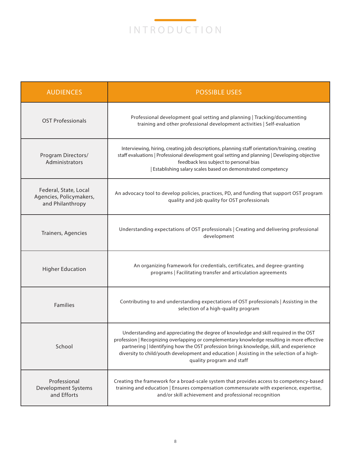

| <b>AUDIENCES</b>                                                     | <b>POSSIBLE USES</b>                                                                                                                                                                                                                                                                                                                                                                                      |
|----------------------------------------------------------------------|-----------------------------------------------------------------------------------------------------------------------------------------------------------------------------------------------------------------------------------------------------------------------------------------------------------------------------------------------------------------------------------------------------------|
| <b>OST Professionals</b>                                             | Professional development goal setting and planning   Tracking/documenting<br>training and other professional development activities   Self-evaluation                                                                                                                                                                                                                                                     |
| Program Directors/<br>Administrators                                 | Interviewing, hiring, creating job descriptions, planning staff orientation/training, creating<br>staff evaluations   Professional development goal setting and planning   Developing objective<br>feedback less subject to personal bias<br>Establishing salary scales based on demonstrated competency                                                                                                  |
| Federal, State, Local<br>Agencies, Policymakers,<br>and Philanthropy | An advocacy tool to develop policies, practices, PD, and funding that support OST program<br>quality and job quality for OST professionals                                                                                                                                                                                                                                                                |
| Trainers, Agencies                                                   | Understanding expectations of OST professionals   Creating and delivering professional<br>development                                                                                                                                                                                                                                                                                                     |
| <b>Higher Education</b>                                              | An organizing framework for credentials, certificates, and degree-granting<br>programs   Facilitating transfer and articulation agreements                                                                                                                                                                                                                                                                |
| Families                                                             | Contributing to and understanding expectations of OST professionals   Assisting in the<br>selection of a high-quality program                                                                                                                                                                                                                                                                             |
| School                                                               | Understanding and appreciating the degree of knowledge and skill required in the OST<br>profession   Recognizing overlapping or complementary knowledge resulting in more effective<br>partnering   Identifying how the OST profession brings knowledge, skill, and experience<br>diversity to child/youth development and education   Assisting in the selection of a high-<br>quality program and staff |
| Professional<br>Development Systems<br>and Efforts                   | Creating the framework for a broad-scale system that provides access to competency-based<br>training and education   Ensures compensation commensurate with experience, expertise,<br>and/or skill achievement and professional recognition                                                                                                                                                               |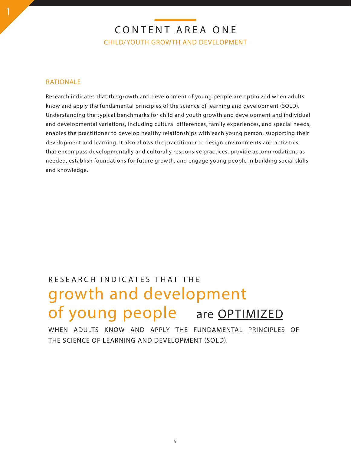# CONTENT AREA ONE CHILD/YOUTH GROWTH AND DEVELOPMENT

### RATIONALE

Research indicates that the growth and development of young people are optimized when adults know and apply the fundamental principles of the science of learning and development (SOLD). Understanding the typical benchmarks for child and youth growth and development and individual and developmental variations, including cultural differences, family experiences, and special needs, enables the practitioner to develop healthy relationships with each young person, supporting their development and learning. It also allows the practitioner to design environments and activities that encompass developmentally and culturally responsive practices, provide accommodations as needed, establish foundations for future growth, and engage young people in building social skills and knowledge.

# growth and development of young people are OPTIMIZED RESEARCH INDICATES THAT THE

WHEN ADULTS KNOW AND APPLY THE FUNDAMENTAL PRINCIPLES OF THE SCIENCE OF LEARNING AND DEVELOPMENT (SOLD).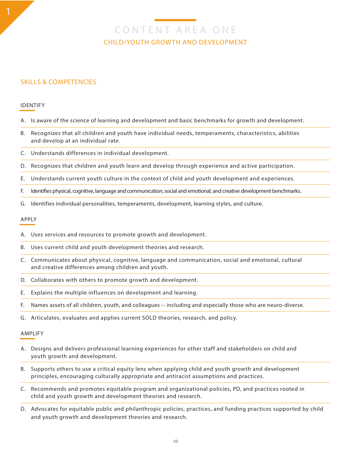CONTENT AREA ONE CHILD/YOUTH GROWTH AND DEVELOPMENT

### SKILLS & COMPETENCIES

#### IDENTIFY

- A. Is aware of the science of learning and development and basic benchmarks for growth and development.
- B. Recognizes that all children and youth have individual needs, temperaments, characteristics, abilities and develop at an individual rate.
- C. Understands differences in individual development.
- D. Recognizes that children and youth learn and develop through experience and active participation.
- E. Understands current youth culture in the context of child and youth development and experiences.
- F. Identifies physical, cognitive, language and communication, social and emotional, and creative development benchmarks.
- G. Identifies individual personalities, temperaments, development, learning styles, and culture.

#### APPLY

- A. Uses services and resources to promote growth and development.
- B. Uses current child and youth development theories and research.
- C. Communicates about physical, cognitive, language and communication, social and emotional, cultural and creative differences among children and youth.
- D. Collaborates with others to promote growth and development.
- E. Explains the multiple influences on development and learning.
- F. Names assets of all children, youth, and colleagues -- including and especially those who are neuro-diverse.
- G. Articulates, evaluates and applies current SOLD theories, research, and policy.

- A. Designs and delivers professional learning experiences for other staff and stakeholders on child and youth growth and development.
- B. Supports others to use a critical equity lens when applying child and youth growth and development principles, encouraging culturally appropriate and antiracist assumptions and practices.
- C. Recommends and promotes equitable program and organizational policies, PD, and practices rooted in child and youth growth and development theories and research.
- D. Advocates for equitable public and philanthropic policies, practices, and funding practices supported by child and youth growth and development theories and research.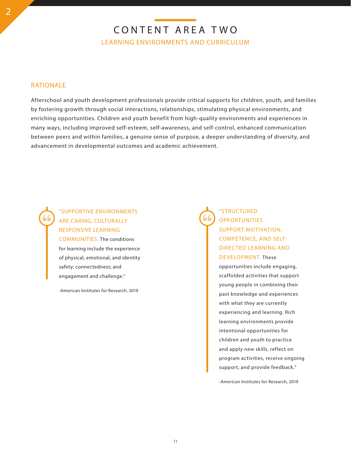### RATIONALE

Afterschool and youth development professionals provide critical supports for children, youth, and families by fostering growth through social interactions, relationships, stimulating physical environments, and enriching opportunities. Children and youth benefit from high-quality environments and experiences in many ways, including improved self-esteem, self-awareness, and self-control, enhanced communication between peers and within families, a genuine sense of purpose, a deeper understanding of diversity, and advancement in developmental outcomes and academic achievement.

"SUPPORTIVE ENVIRONMENTS ARE CARING, CULTURALLY RESPONSIVE LEARNING COMMUNITIES. The conditions for learning include the experience of physical, emotional, and identity safety; connectedness; and engagement and challenge."

-American Institutes for Research, 2019

"STRUCTURED **OPPORTUNITIES** SUPPORT MOTIVATION, COMPETENCE, AND SELF-DIRECTED LEARNING AND DEVELOPMENT. These

opportunities include engaging, scaffolded activities that support young people in combining their past knowledge and experiences with what they are currently experiencing and learning. Rich learning environments provide intentional opportunities for children and youth to practice and apply new skills, reflect on program activities, receive ongoing support, and provide feedback."

-American Institutes for Research, 2019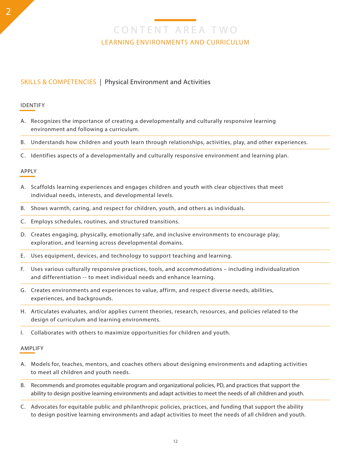### SKILLS & COMPETENCIES | Physical Environment and Activities

#### IDENTIFY

- A. Recognizes the importance of creating a developmentally and culturally responsive learning environment and following a curriculum.
- B. Understands how children and youth learn through relationships, activities, play, and other experiences.
- C. Identifies aspects of a developmentally and culturally responsive environment and learning plan.

#### APPLY

- A. Scaffolds learning experiences and engages children and youth with clear objectives that meet individual needs, interests, and developmental levels.
- B. Shows warmth, caring, and respect for children, youth, and others as individuals.
- C. Employs schedules, routines, and structured transitions.
- D. Creates engaging, physically, emotionally safe, and inclusive environments to encourage play, exploration, and learning across developmental domains.
- E. Uses equipment, devices, and technology to support teaching and learning.
- F. Uses various culturally responsive practices, tools, and accommodations including individualization and differentiation -- to meet individual needs and enhance learning.
- G. Creates environments and experiences to value, affirm, and respect diverse needs, abilities, experiences, and backgrounds.
- H. Articulates evaluates, and/or applies current theories, research, resources, and policies related to the design of curriculum and learning environments.
- I. Collaborates with others to maximize opportunities for children and youth.

- A. Models for, teaches, mentors, and coaches others about designing environments and adapting activities to meet all children and youth needs.
- B. Recommends and promotes equitable program and organizational policies, PD, and practices that support the ability to design positive learning environments and adapt activities to meet the needs of all children and youth.
- C. Advocates for equitable public and philanthropic policies, practices, and funding that support the ability to design positive learning environments and adapt activities to meet the needs of all children and youth.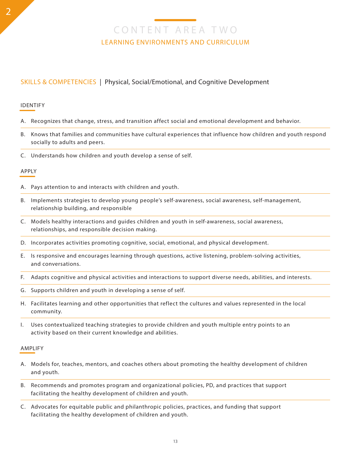### SKILLS & COMPETENCIES | Physical, Social/Emotional, and Cognitive Development

#### IDENTIFY

- A. Recognizes that change, stress, and transition affect social and emotional development and behavior.
- B. Knows that families and communities have cultural experiences that influence how children and youth respond socially to adults and peers.
- C. Understands how children and youth develop a sense of self.

#### APPLY

- A. Pays attention to and interacts with children and youth.
- B. Implements strategies to develop young people's self-awareness, social awareness, self-management, relationship building, and responsible
- C. Models healthy interactions and guides children and youth in self-awareness, social awareness, relationships, and responsible decision making.
- D. Incorporates activities promoting cognitive, social, emotional, and physical development.
- E. Is responsive and encourages learning through questions, active listening, problem-solving activities, and conversations.
- F. Adapts cognitive and physical activities and interactions to support diverse needs, abilities, and interests.
- G. Supports children and youth in developing a sense of self.
- H. Facilitates learning and other opportunities that reflect the cultures and values represented in the local community.
- I. Uses contextualized teaching strategies to provide children and youth multiple entry points to an activity based on their current knowledge and abilities.

- A. Models for, teaches, mentors, and coaches others about promoting the healthy development of children and youth.
- B. Recommends and promotes program and organizational policies, PD, and practices that support facilitating the healthy development of children and youth.
- C. Advocates for equitable public and philanthropic policies, practices, and funding that support facilitating the healthy development of children and youth.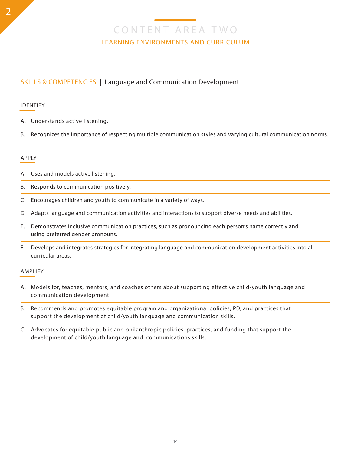### SKILLS & COMPETENCIES | Language and Communication Development

#### IDENTIFY

- A. Understands active listening.
- B. Recognizes the importance of respecting multiple communication styles and varying cultural communication norms.

#### APPLY

- A. Uses and models active listening.
- B. Responds to communication positively.
- C. Encourages children and youth to communicate in a variety of ways.
- D. Adapts language and communication activities and interactions to support diverse needs and abilities.
- E. Demonstrates inclusive communication practices, such as pronouncing each person's name correctly and using preferred gender pronouns.
- F. Develops and integrates strategies for integrating language and communication development activities into all curricular areas.

- A. Models for, teaches, mentors, and coaches others about supporting effective child/youth language and communication development.
- B. Recommends and promotes equitable program and organizational policies, PD, and practices that support the development of child/youth language and communication skills.
- C. Advocates for equitable public and philanthropic policies, practices, and funding that support the development of child/youth language and communications skills.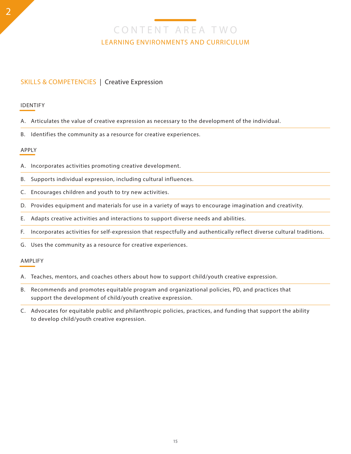### SKILLS & COMPETENCIES | Creative Expression

#### IDENTIFY

- A. Articulates the value of creative expression as necessary to the development of the individual.
- B. Identifies the community as a resource for creative experiences.

#### APPLY

- A. Incorporates activities promoting creative development.
- B. Supports individual expression, including cultural influences.
- C. Encourages children and youth to try new activities.
- D. Provides equipment and materials for use in a variety of ways to encourage imagination and creativity.
- E. Adapts creative activities and interactions to support diverse needs and abilities.
- F. Incorporates activities for self-expression that respectfully and authentically reflect diverse cultural traditions.
- G. Uses the community as a resource for creative experiences.

- A. Teaches, mentors, and coaches others about how to support child/youth creative expression.
- B. Recommends and promotes equitable program and organizational policies, PD, and practices that support the development of child/youth creative expression.
- C. Advocates for equitable public and philanthropic policies, practices, and funding that support the ability to develop child/youth creative expression.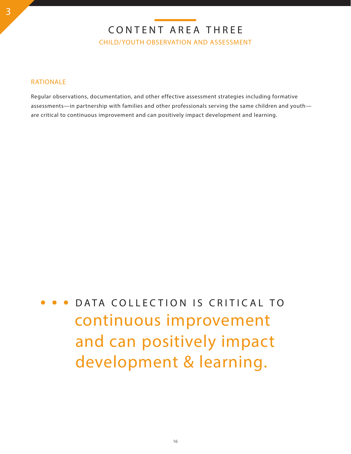# CONTENT AREA THREE

CHILD/YOUTH OBSERVATION AND ASSESSMENT

### RATIONALE

Regular observations, documentation, and other effective assessment strategies including formative assessments—in partnership with families and other professionals serving the same children and youth are critical to continuous improvement and can positively impact development and learning.

continuous improvement DATA COLLECTION IS CRITICAL TO and can positively impact development & learning.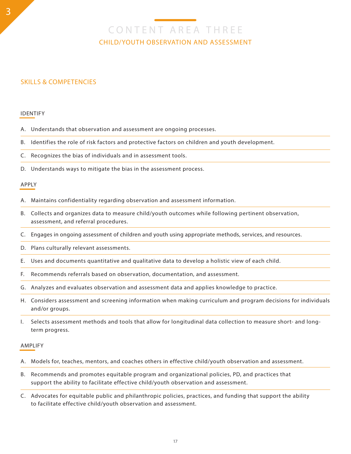# CONTENT AREA THREE CHILD/YOUTH OBSERVATION AND ASSESSMENT

### SKILLS & COMPETENCIES

#### IDENTIFY

- A. Understands that observation and assessment are ongoing processes.
- B. Identifies the role of risk factors and protective factors on children and youth development.
- C. Recognizes the bias of individuals and in assessment tools.
- D. Understands ways to mitigate the bias in the assessment process.

#### APPLY

- A. Maintains confidentiality regarding observation and assessment information.
- B. Collects and organizes data to measure child/youth outcomes while following pertinent observation, assessment, and referral procedures.
- C. Engages in ongoing assessment of children and youth using appropriate methods, services, and resources.
- D. Plans culturally relevant assessments.
- E. Uses and documents quantitative and qualitative data to develop a holistic view of each child.
- F. Recommends referrals based on observation, documentation, and assessment.
- G. Analyzes and evaluates observation and assessment data and applies knowledge to practice.
- H. Considers assessment and screening information when making curriculum and program decisions for individuals and/or groups.
- I. Selects assessment methods and tools that allow for longitudinal data collection to measure short- and longterm progress.

- A. Models for, teaches, mentors, and coaches others in effective child/youth observation and assessment.
- B. Recommends and promotes equitable program and organizational policies, PD, and practices that support the ability to facilitate effective child/youth observation and assessment.
- C. Advocates for equitable public and philanthropic policies, practices, and funding that support the ability to facilitate effective child/youth observation and assessment.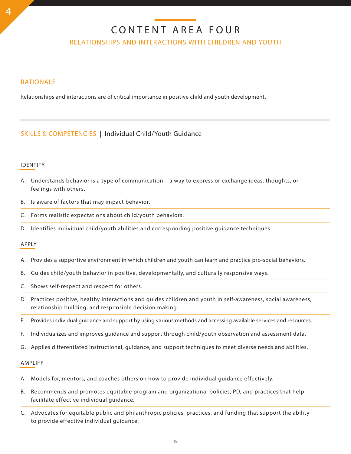# CONTENT AREA FOUR

RELATIONSHIPS AND INTERACTIONS WITH CHILDREN AND YOUTH

### RATIONALE

Relationships and interactions are of critical importance in positive child and youth development.

### SKILLS & COMPETENCIES | Individual Child/Youth Guidance

#### IDENTIFY

- A. Understands behavior is a type of communication a way to express or exchange ideas, thoughts, or feelings with others.
- B. Is aware of factors that may impact behavior.
- C. Forms realistic expectations about child/youth behaviors.
- D. Identifies individual child/youth abilities and corresponding positive guidance techniques.

#### APPLY

- A. Provides a supportive environment in which children and youth can learn and practice pro-social behaviors.
- B. Guides child/youth behavior in positive, developmentally, and culturally responsive ways.
- C. Shows self-respect and respect for others.
- D. Practices positive, healthy interactions and guides children and youth in self-awareness, social awareness, relationship building, and responsible decision making.
- E. Provides individual guidance and support by using various methods and accessing available services and resources.
- F. Individualizes and improves guidance and support through child/youth observation and assessment data.
- G. Applies differentiated instructional, guidance, and support techniques to meet diverse needs and abilities.

- A. Models for, mentors, and coaches others on how to provide individual guidance effectively.
- B. Recommends and promotes equitable program and organizational policies, PD, and practices that help facilitate effective individual guidance.
- C. Advocates for equitable public and philanthropic policies, practices, and funding that support the ability to provide effective individual guidance.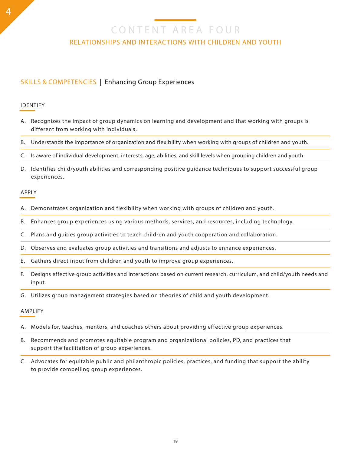CONTENT AREA FOUR

### RELATIONSHIPS AND INTERACTIONS WITH CHILDREN AND YOUTH

### SKILLS & COMPETENCIES | Enhancing Group Experiences

#### IDENTIFY

- A. Recognizes the impact of group dynamics on learning and development and that working with groups is different from working with individuals.
- B. Understands the importance of organization and flexibility when working with groups of children and youth.
- C. Is aware of individual development, interests, age, abilities, and skill levels when grouping children and youth.
- D. Identifies child/youth abilities and corresponding positive guidance techniques to support successful group experiences.

#### APPLY

- A. Demonstrates organization and flexibility when working with groups of children and youth.
- B. Enhances group experiences using various methods, services, and resources, including technology.
- C. Plans and guides group activities to teach children and youth cooperation and collaboration.
- D. Observes and evaluates group activities and transitions and adjusts to enhance experiences.
- E. Gathers direct input from children and youth to improve group experiences.
- F. Designs effective group activities and interactions based on current research, curriculum, and child/youth needs and input.
- G. Utilizes group management strategies based on theories of child and youth development.

- A. Models for, teaches, mentors, and coaches others about providing effective group experiences.
- B. Recommends and promotes equitable program and organizational policies, PD, and practices that support the facilitation of group experiences.
- C. Advocates for equitable public and philanthropic policies, practices, and funding that support the ability to provide compelling group experiences.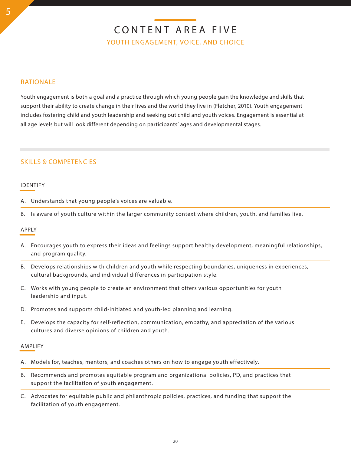# CONTENT AREA FIVE YOUTH ENGAGEMENT, VOICE, AND CHOICE

### RATIONALE

Youth engagement is both a goal and a practice through which young people gain the knowledge and skills that support their ability to create change in their lives and the world they live in (Fletcher, 2010). Youth engagement includes fostering child and youth leadership and seeking out child and youth voices. Engagement is essential at all age levels but will look different depending on participants' ages and developmental stages.

### SKILLS & COMPETENCIES

#### IDENTIFY

- A. Understands that young people's voices are valuable.
- B. Is aware of youth culture within the larger community context where children, youth, and families live.

#### APPLY

- A. Encourages youth to express their ideas and feelings support healthy development, meaningful relationships, and program quality.
- B. Develops relationships with children and youth while respecting boundaries, uniqueness in experiences, cultural backgrounds, and individual differences in participation style.
- C. Works with young people to create an environment that offers various opportunities for youth leadership and input.
- D. Promotes and supports child-initiated and youth-led planning and learning.
- E. Develops the capacity for self-reflection, communication, empathy, and appreciation of the various cultures and diverse opinions of children and youth.

- A. Models for, teaches, mentors, and coaches others on how to engage youth effectively.
- B. Recommends and promotes equitable program and organizational policies, PD, and practices that support the facilitation of youth engagement.
- C. Advocates for equitable public and philanthropic policies, practices, and funding that support the facilitation of youth engagement.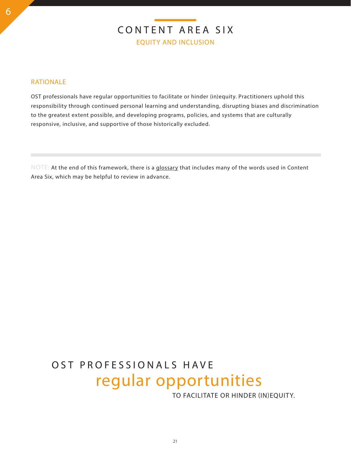### RATIONALE

OST professionals have regular opportunities to facilitate or hinder (in)equity. Practitioners uphold this responsibility through continued personal learning and understanding, disrupting biases and discrimination to the greatest extent possible, and developing programs, policies, and systems that are culturally responsive, inclusive, and supportive of those historically excluded.

NOTE: At the end of this framework, there is a glossary that includes many of the words used in Content Area Six, which may be helpful to review in advance.

# regular opportunities OST PROFESSIONALS HAVE

TO FACILITATE OR HINDER (IN)EQUITY.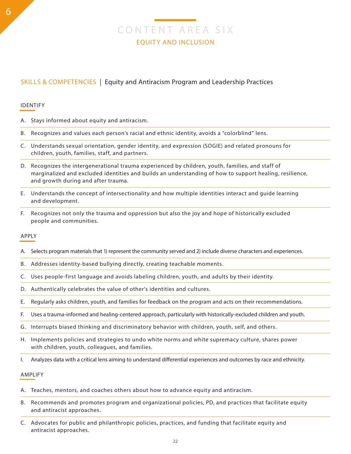## SKILLS & COMPETENCIES | Equity and Antiracism Program and Leadership Practices

#### IDENTIFY

- A. Stays informed about equity and antiracism.
- B. Recognizes and values each person's racial and ethnic identity, avoids a "colorblind" lens.
- C. Understands sexual orientation, gender identity, and expression (SOGIE) and related pronouns for children, youth, families, staff, and partners.
- D. Recognizes the intergenerational trauma experienced by children, youth, families, and staff of marginalized and excluded identities and builds an understanding of how to support healing, resilience, and growth during and after trauma.
- E. Understands the concept of intersectionality and how multiple identities interact and guide learning and development.
- F. Recognizes not only the trauma and oppression but also the joy and hope of historically excluded people and communities.

#### APPLY

- A. Selects program materials that 1) represent the community served and 2) include diverse characters and experiences.
- B. Addresses identity-based bullying directly, creating teachable moments.
- C. Uses people-first language and avoids labeling children, youth, and adults by their identity.
- D. Authentically celebrates the value of other's identities and cultures.
- E. Regularly asks children, youth, and families for feedback on the program and acts on their recommendations.
- F. Uses a trauma-informed and healing-centered approach, particularly with historically-excluded children and youth.
- G. Interrupts biased thinking and discriminatory behavior with children, youth, self, and others.
- H. Implements policies and strategies to undo white norms and white supremacy culture, shares power with children, youth, colleagues, and families.
- I. Analyzes data with a critical lens aiming to understand differential experiences and outcomes by race and ethnicity.

- A. Teaches, mentors, and coaches others about how to advance equity and antiracism.
- B. Recommends and promotes program and organizational policies, PD, and practices that facilitate equity and antiracist approaches.
- C. Advocates for public and philanthropic policies, practices, and funding that facilitate equity and antiracist approaches.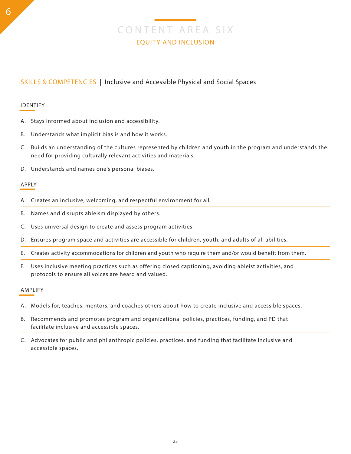### SKILLS & COMPETENCIES | Inclusive and Accessible Physical and Social Spaces

#### IDENTIFY

- A. Stays informed about inclusion and accessibility.
- B. Understands what implicit bias is and how it works.
- C. Builds an understanding of the cultures represented by children and youth in the program and understands the need for providing culturally relevant activities and materials.
- D. Understands and names one's personal biases.

#### APPLY

- A. Creates an inclusive, welcoming, and respectful environment for all.
- B. Names and disrupts ableism displayed by others.
- C. Uses universal design to create and assess program activities.
- D. Ensures program space and activities are accessible for children, youth, and adults of all abilities.
- E. Creates activity accommodations for children and youth who require them and/or would benefit from them.
- F. Uses inclusive meeting practices such as offering closed captioning, avoiding ableist activities, and protocols to ensure all voices are heard and valued.

- A. Models for, teaches, mentors, and coaches others about how to create inclusive and accessible spaces.
- B. Recommends and promotes program and organizational policies, practices, funding, and PD that facilitate inclusive and accessible spaces.
- C. Advocates for public and philanthropic policies, practices, and funding that facilitate inclusive and accessible spaces.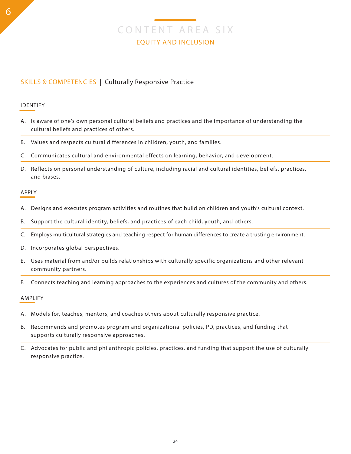### SKILLS & COMPETENCIES | Culturally Responsive Practice

#### IDENTIFY

- A. Is aware of one's own personal cultural beliefs and practices and the importance of understanding the cultural beliefs and practices of others.
- B. Values and respects cultural differences in children, youth, and families.
- C. Communicates cultural and environmental effects on learning, behavior, and development.
- D. Reflects on personal understanding of culture, including racial and cultural identities, beliefs, practices, and biases.

#### APPLY

- A. Designs and executes program activities and routines that build on children and youth's cultural context.
- B. Support the cultural identity, beliefs, and practices of each child, youth, and others.
- C. Employs multicultural strategies and teaching respect for human differences to create a trusting environment.
- D. Incorporates global perspectives.
- E. Uses material from and/or builds relationships with culturally specific organizations and other relevant community partners.
- F. Connects teaching and learning approaches to the experiences and cultures of the community and others.

- A. Models for, teaches, mentors, and coaches others about culturally responsive practice.
- B. Recommends and promotes program and organizational policies, PD, practices, and funding that supports culturally responsive approaches.
- C. Advocates for public and philanthropic policies, practices, and funding that support the use of culturally responsive practice.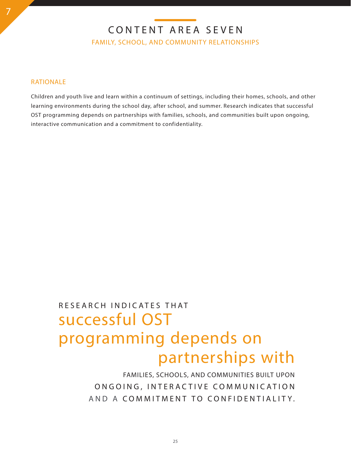CONTENT AREA SEVEN

FAMILY, SCHOOL, AND COMMUNITY RELATIONSHIPS

#### RATIONALE

Children and youth live and learn within a continuum of settings, including their homes, schools, and other learning environments during the school day, after school, and summer. Research indicates that successful OST programming depends on partnerships with families, schools, and communities built upon ongoing, interactive communication and a commitment to confidentiality.

# successful OST RESEARCH INDICATES THAT programming depends on partnerships with

FAMILIES, SCHOOLS, AND COMMUNITIES BUILT UPON ON GOING, INTERACTIVE COMMUNICATION AND A COMMITMENT TO CONFIDENTIALITY.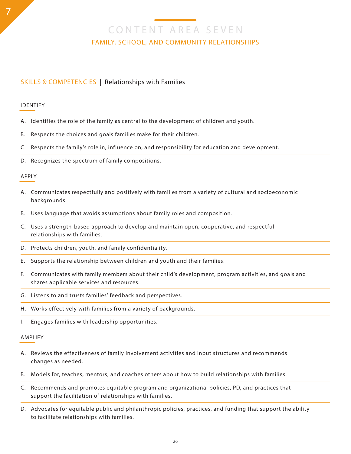CONTENT AREA SEVEN FAMILY, SCHOOL, AND COMMUNITY RELATIONSHIPS

### SKILLS & COMPETENCIES | Relationships with Families

#### IDENTIFY

7

- A. Identifies the role of the family as central to the development of children and youth.
- B. Respects the choices and goals families make for their children.
- C. Respects the family's role in, influence on, and responsibility for education and development.
- D. Recognizes the spectrum of family compositions.

#### APPLY

- A. Communicates respectfully and positively with families from a variety of cultural and socioeconomic backgrounds.
- B. Uses language that avoids assumptions about family roles and composition.
- C. Uses a strength-based approach to develop and maintain open, cooperative, and respectful relationships with families.
- D. Protects children, youth, and family confidentiality.
- E. Supports the relationship between children and youth and their families.
- F. Communicates with family members about their child's development, program activities, and goals and shares applicable services and resources.
- G. Listens to and trusts families' feedback and perspectives.
- H. Works effectively with families from a variety of backgrounds.
- I. Engages families with leadership opportunities.

- A. Reviews the effectiveness of family involvement activities and input structures and recommends changes as needed.
- B. Models for, teaches, mentors, and coaches others about how to build relationships with families.
- C. Recommends and promotes equitable program and organizational policies, PD, and practices that support the facilitation of relationships with families.
- D. Advocates for equitable public and philanthropic policies, practices, and funding that support the ability to facilitate relationships with families.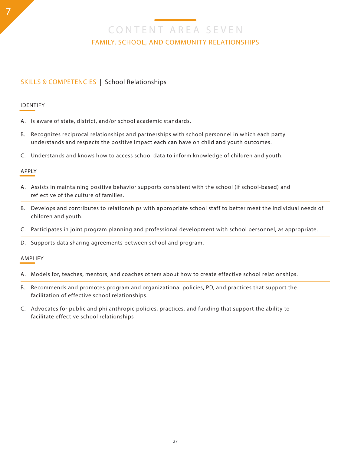CONTENT AREA SEVEN FAMILY, SCHOOL, AND COMMUNITY RELATIONSHIPS

### SKILLS & COMPETENCIES | School Relationships

#### IDENTIFY

- A. Is aware of state, district, and/or school academic standards.
- B. Recognizes reciprocal relationships and partnerships with school personnel in which each party understands and respects the positive impact each can have on child and youth outcomes.
- C. Understands and knows how to access school data to inform knowledge of children and youth.

#### APPLY

- A. Assists in maintaining positive behavior supports consistent with the school (if school-based) and reflective of the culture of families.
- B. Develops and contributes to relationships with appropriate school staff to better meet the individual needs of children and youth.
- C. Participates in joint program planning and professional development with school personnel, as appropriate.
- D. Supports data sharing agreements between school and program.

- A. Models for, teaches, mentors, and coaches others about how to create effective school relationships.
- B. Recommends and promotes program and organizational policies, PD, and practices that support the facilitation of effective school relationships.
- C. Advocates for public and philanthropic policies, practices, and funding that support the ability to facilitate effective school relationships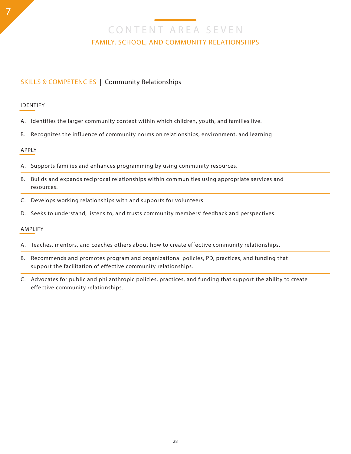CONTENT AREA SEVEN FAMILY, SCHOOL, AND COMMUNITY RELATIONSHIPS

### SKILLS & COMPETENCIES | Community Relationships

#### IDENTIFY

7

- A. Identifies the larger community context within which children, youth, and families live.
- B. Recognizes the influence of community norms on relationships, environment, and learning

#### APPLY

- A. Supports families and enhances programming by using community resources.
- B. Builds and expands reciprocal relationships within communities using appropriate services and resources.
- C. Develops working relationships with and supports for volunteers.
- D. Seeks to understand, listens to, and trusts community members' feedback and perspectives.

- A. Teaches, mentors, and coaches others about how to create effective community relationships.
- B. Recommends and promotes program and organizational policies, PD, practices, and funding that support the facilitation of effective community relationships.
- C. Advocates for public and philanthropic policies, practices, and funding that support the ability to create effective community relationships.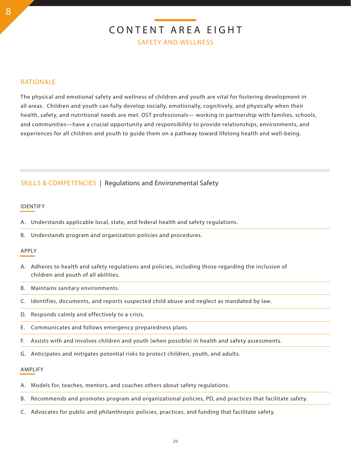# CONTENT AREA EIGHT SAFETY AND WELLNESS

### RATIONALE

The physical and emotional safety and wellness of children and youth are vital for fostering development in all areas. Children and youth can fully develop socially, emotionally, cognitively, and physically when their health, safety, and nutritional needs are met. OST professionals— working in partnership with families, schools, and communities—have a crucial opportunity and responsibility to provide relationships, environments, and experiences for all children and youth to guide them on a pathway toward lifelong health and well-being.

### SKILLS & COMPETENCIES | Regulations and Environmental Safety

#### IDENTIFY

A. Understands applicable local, state, and federal health and safety regulations.

B. Understands program and organization policies and procedures.

#### APPLY

- A. Adheres to health and safety regulations and policies, including those regarding the inclusion of children and youth of all abilities.
- B. Maintains sanitary environments.
- C. Identifies, documents, and reports suspected child abuse and neglect as mandated by law.
- D. Responds calmly and effectively to a crisis.
- E. Communicates and follows emergency preparedness plans.
- F. Assists with and involves children and youth (when possible) in health and safety assessments.
- G. Anticipates and mitigates potential risks to protect children, youth, and adults.

- A. Models for, teaches, mentors, and coaches others about safety regulations.
- B. Recommends and promotes program and organizational policies, PD, and practices that facilitate safety.
- C. Advocates for public and philanthropic policies, practices, and funding that facilitate safety.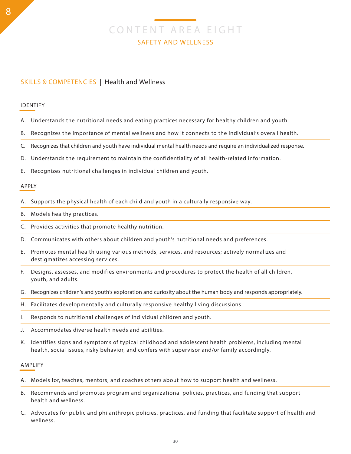# CONTENT AREA EIGHT SAFETY AND WELLNESS

### SKILLS & COMPETENCIES | Health and Wellness

#### IDENTIFY

- A. Understands the nutritional needs and eating practices necessary for healthy children and youth.
- B. Recognizes the importance of mental wellness and how it connects to the individual's overall health.
- C. Recognizes that children and youth have individual mental health needs and require an individualized response.

D. Understands the requirement to maintain the confidentiality of all health-related information.

E. Recognizes nutritional challenges in individual children and youth.

#### APPLY

- A. Supports the physical health of each child and youth in a culturally responsive way.
- B. Models healthy practices.
- C. Provides activities that promote healthy nutrition.
- D. Communicates with others about children and youth's nutritional needs and preferences.
- E. Promotes mental health using various methods, services, and resources; actively normalizes and destigmatizes accessing services.
- F. Designs, assesses, and modifies environments and procedures to protect the health of all children, youth, and adults.
- G. Recognizes children's and youth's exploration and curiosity about the human body and responds appropriately.
- H. Facilitates developmentally and culturally responsive healthy living discussions.
- I. Responds to nutritional challenges of individual children and youth.
- J. Accommodates diverse health needs and abilities.
- K. Identifies signs and symptoms of typical childhood and adolescent health problems, including mental health, social issues, risky behavior, and confers with supervisor and/or family accordingly.

- A. Models for, teaches, mentors, and coaches others about how to support health and wellness.
- B. Recommends and promotes program and organizational policies, practices, and funding that support health and wellness.
- C. Advocates for public and philanthropic policies, practices, and funding that facilitate support of health and wellness.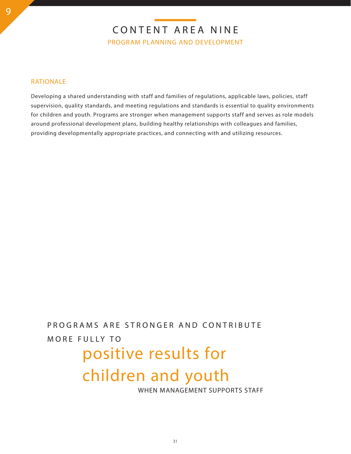### RATIONALE

Developing a shared understanding with staff and families of regulations, applicable laws, policies, staff supervision, quality standards, and meeting regulations and standards is essential to quality environments for children and youth. Programs are stronger when management supports staff and serves as role models around professional development plans, building healthy relationships with colleagues and families, providing developmentally appropriate practices, and connecting with and utilizing resources.

# PROGRAMS ARE STRONGER AND CONTRIBUTE MORE FULLY TO

# positive results for

# children and youth

WHEN MANAGEMENT SUPPORTS STAFF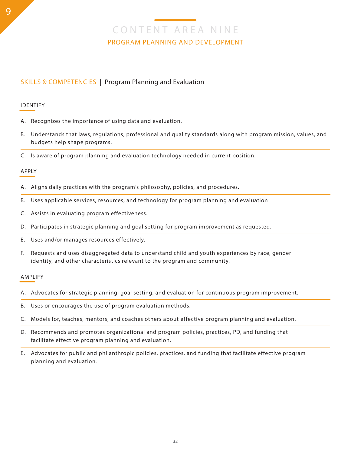### SKILLS & COMPETENCIES | Program Planning and Evaluation

#### IDENTIFY

- A. Recognizes the importance of using data and evaluation.
- B. Understands that laws, regulations, professional and quality standards along with program mission, values, and budgets help shape programs.
- C. Is aware of program planning and evaluation technology needed in current position.

#### APPLY

- A. Aligns daily practices with the program's philosophy, policies, and procedures.
- B. Uses applicable services, resources, and technology for program planning and evaluation
- C. Assists in evaluating program effectiveness.
- D. Participates in strategic planning and goal setting for program improvement as requested.
- E. Uses and/or manages resources effectively.
- F. Requests and uses disaggregated data to understand child and youth experiences by race, gender identity, and other characteristics relevant to the program and community.

- A. Advocates for strategic planning, goal setting, and evaluation for continuous program improvement.
- B. Uses or encourages the use of program evaluation methods.
- C. Models for, teaches, mentors, and coaches others about effective program planning and evaluation.
- D. Recommends and promotes organizational and program policies, practices, PD, and funding that facilitate effective program planning and evaluation.
- E. Advocates for public and philanthropic policies, practices, and funding that facilitate effective program planning and evaluation.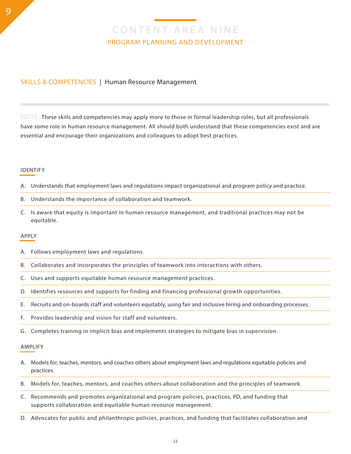### SKILLS & COMPETENCIES | Human Resource Management

 $\overline{NOTE}$ : These skills and competencies may apply more to those in formal leadership roles, but all professionals have some role in human resource management. All should both understand that these competencies exist and are essential and encourage their organizations and colleagues to adopt best practices.

#### IDENTIFY

- A. Understands that employment laws and regulations impact organizational and program policy and practice.
- B. Understands the importance of collaboration and teamwork.
- C. Is aware that equity is important in human resource management, and traditional practices may not be equitable.

#### APPLY

- A. Follows employment laws and regulations.
- B. Collaborates and incorporates the principles of teamwork into interactions with others.
- C. Uses and supports equitable human resource management practices.
- D. Identifies resources and supports for finding and financing professional growth opportunities.
- E. Recruits and on-boards staff and volunteers equitably, using fair and inclusive hiring and onboarding processes.
- F. Provides leadership and vision for staff and volunteers.
- G. Completes training in implicit bias and implements strategies to mitigate bias in supervision.

- A. Models for, teaches, mentors, and coaches others about employment laws and regulations equitable policies and practices.
- B. Models for, teaches, mentors, and coaches others about collaboration and the principles of teamwork.
- C. Recommends and promotes organizational and program policies, practices, PD, and funding that supports collaboration and equitable human resource management.
- D. Advocates for public and philanthropic policies, practices, and funding that facilitates collaboration and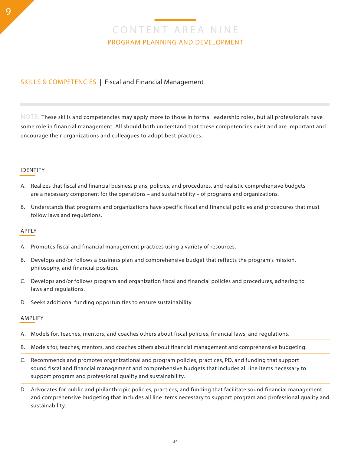### SKILLS & COMPETENCIES | Fiscal and Financial Management

 $\overline{NOTE}$ : These skills and competencies may apply more to those in formal leadership roles, but all professionals have some role in financial management. All should both understand that these competencies exist and are important and encourage their organizations and colleagues to adopt best practices.

#### IDENTIFY

- A. Realizes that fiscal and financial business plans, policies, and procedures, and realistic comprehensive budgets are a necessary component for the operations – and sustainability – of programs and organizations.
- B. Understands that programs and organizations have specific fiscal and financial policies and procedures that must follow laws and regulations.

#### APPLY

- A. Promotes fiscal and financial management practices using a variety of resources.
- B. Develops and/or follows a business plan and comprehensive budget that reflects the program's mission, philosophy, and financial position.
- C. Develops and/or follows program and organization fiscal and financial policies and procedures, adhering to laws and regulations.
- D. Seeks additional funding opportunities to ensure sustainability.

- A. Models for, teaches, mentors, and coaches others about fiscal policies, financial laws, and regulations.
- B. Models for, teaches, mentors, and coaches others about financial management and comprehensive budgeting.
- C. Recommends and promotes organizational and program policies, practices, PD, and funding that support sound fiscal and financial management and comprehensive budgets that includes all line items necessary to support program and professional quality and sustainability.
- D. Advocates for public and philanthropic policies, practices, and funding that facilitate sound financial management and comprehensive budgeting that includes all line items necessary to support program and professional quality and sustainability.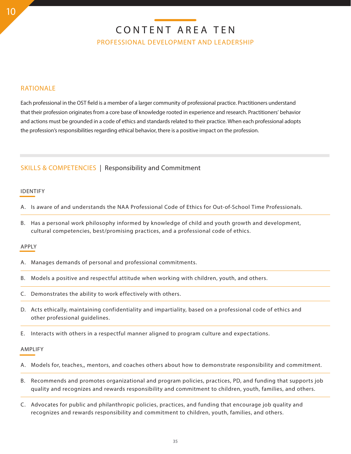# CONTENT AREA TEN

PROFESSIONAL DEVELOPMENT AND LEADERSHIP

### RATIONALE

Each professional in the OST field is a member of a larger community of professional practice. Practitioners understand that their profession originates from a core base of knowledge rooted in experience and research. Practitioners' behavior and actions must be grounded in a code of ethics and standards related to their practice. When each professional adopts the profession's responsibilities regarding ethical behavior, there is a positive impact on the profession.

### SKILLS & COMPETENCIES | Responsibility and Commitment

#### IDENTIFY

- A. Is aware of and understands the NAA Professional Code of Ethics for Out-of-School Time Professionals.
- B. Has a personal work philosophy informed by knowledge of child and youth growth and development, cultural competencies, best/promising practices, and a professional code of ethics.

#### APPLY

- A. Manages demands of personal and professional commitments.
- B. Models a positive and respectful attitude when working with children, youth, and others.
- C. Demonstrates the ability to work effectively with others.
- D. Acts ethically, maintaining confidentiality and impartiality, based on a professional code of ethics and other professional guidelines.
- E. Interacts with others in a respectful manner aligned to program culture and expectations.

- A. Models for, teaches,, mentors, and coaches others about how to demonstrate responsibility and commitment.
- B. Recommends and promotes organizational and program policies, practices, PD, and funding that supports job quality and recognizes and rewards responsibility and commitment to children, youth, families, and others.
- C. Advocates for public and philanthropic policies, practices, and funding that encourage job quality and recognizes and rewards responsibility and commitment to children, youth, families, and others.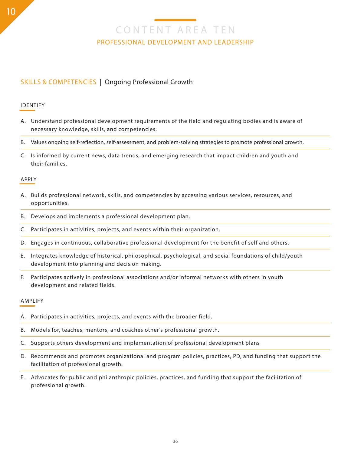# CONTENT AREA TEN PROFESSIONAL DEVELOPMENT AND LEADERSHIP

## SKILLS & COMPETENCIES | Ongoing Professional Growth

### IDENTIFY

- A. Understand professional development requirements of the field and regulating bodies and is aware of necessary knowledge, skills, and competencies.
- B. Values ongoing self-reflection, self-assessment, and problem-solving strategies to promote professional growth.
- C. Is informed by current news, data trends, and emerging research that impact children and youth and their families.

### APPLY

- A. Builds professional network, skills, and competencies by accessing various services, resources, and opportunities.
- B. Develops and implements a professional development plan.
- C. Participates in activities, projects, and events within their organization.
- D. Engages in continuous, collaborative professional development for the benefit of self and others.
- E. Integrates knowledge of historical, philosophical, psychological, and social foundations of child/youth development into planning and decision making.
- F. Participates actively in professional associations and/or informal networks with others in youth development and related fields.

- A. Participates in activities, projects, and events with the broader field.
- B. Models for, teaches, mentors, and coaches other's professional growth.
- C. Supports others development and implementation of professional development plans
- D. Recommends and promotes organizational and program policies, practices, PD, and funding that support the facilitation of professional growth.
- E. Advocates for public and philanthropic policies, practices, and funding that support the facilitation of professional growth.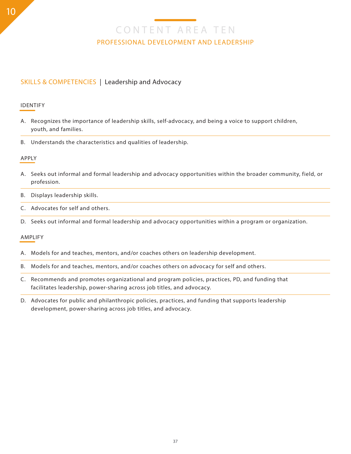# CONTENT AREA TEN PROFESSIONAL DEVELOPMENT AND LEADERSHIP

## SKILLS & COMPETENCIES | Leadership and Advocacy

### IDENTIFY

- A. Recognizes the importance of leadership skills, self-advocacy, and being a voice to support children, youth, and families.
- B. Understands the characteristics and qualities of leadership.

### APPLY

- A. Seeks out informal and formal leadership and advocacy opportunities within the broader community, field, or profession.
- B. Displays leadership skills.
- C. Advocates for self and others.
- D. Seeks out informal and formal leadership and advocacy opportunities within a program or organization.

- A. Models for and teaches, mentors, and/or coaches others on leadership development.
- B. Models for and teaches, mentors, and/or coaches others on advocacy for self and others.
- C. Recommends and promotes organizational and program policies, practices, PD, and funding that facilitates leadership, power-sharing across job titles, and advocacy.
- D. Advocates for public and philanthropic policies, practices, and funding that supports leadership development, power-sharing across job titles, and advocacy.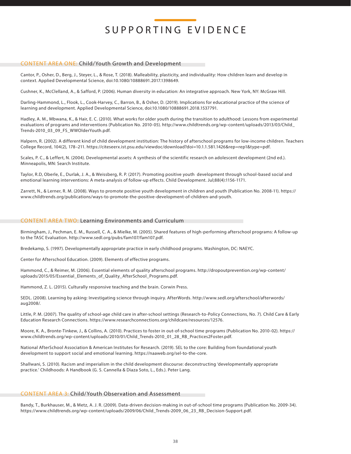#### CONTENT AREA ONE: Child/Youth Growth and Development

Cantor, P., Osher, D., Berg, J., Steyer, L., & Rose, T. (2018). Malleability, plasticity, and individuality: How children learn and develop in context. Applied Developmental Science, doi:10.1080/10888691.2017.1398649.

Cushner, K., McClelland, A., & Safford, P. (2006). Human diversity in education: An integrative approach. New York, NY: McGraw Hill.

Darling-Hammond, L., Flook, L., Cook-Harvey, C., Barron, B., & Osher, D. (2019). Implications for educational practice of the science of learning and development. Applied Developmental Science, doi:10.1080/10888691.2018.1537791.

Hadley, A. M., Mbwana, K., & Hair, E. C. (2010). What works for older youth during the transition to adulthood: Lessons from experimental evaluations of programs and interventions (Publication No. 2010-05). http://www.childtrends.org/wp-content/uploads/2013/03/Child\_ Trends-2010\_03\_09\_FS\_WWOlderYouth.pdf.

Halpern, R. (2002). A different kind of child development institution: The history of afterschool programs for low-income children. Teachers College Record, 104(2), 178–211. https://citeseerx.ist.psu.edu/viewdoc/download?doi=10.1.1.581.1426&rep=rep1&type=pdf.

Scales, P. C., & Leffert, N. (2004). Developmental assets: A synthesis of the scientific research on adolescent development (2nd ed.). Minneapolis, MN: Search Institute.

Taylor, R.D, Oberle, E., Durlak, J. A., & Weissberg, R. P. (2017). Promoting positive youth development through school-based social and emotional learning interventions: A meta-analysis of follow-up effects. Child Development. Jul;88(4):1156-1171.

Zarrett, N., & Lerner, R. M. (2008). Ways to promote positive youth development in children and youth (Publication No. 2008-11). https:// www.childtrends.org/publications/ways-to-promote-the-positive-development-of-children-and-youth.

#### CONTENT AREA TWO: Learning Environments and Curriculum

Birmingham, J., Pechman, E. M., Russell, C. A., & Mielke, M. (2005). Shared features of high-performing afterschool programs: A follow-up to the TASC Evaluation. http://www.sedl.org/pubs/fam107/fam107.pdf.

Bredekamp, S. (1997). Developmentally appropriate practice in early childhood programs. Washington, DC: NAEYC.

Center for Afterschool Education. (2009). Elements of effective programs.

Hammond, C., & Reimer, M. (2006). Essential elements of quality afterschool programs. http://dropoutprevention.org/wp-content/ uploads/2015/05/Essential\_Elements\_of\_Quality\_AfterSchool\_Programs.pdf.

Hammond, Z. L. (2015). Culturally responsive teaching and the brain. Corwin Press.

SEDL. (2008). Learning by asking: Investigating science through inquiry. AfterWords. http://www.sedl.org/afterschool/afterwords/ aug2008/.

Little, P. M. (2007). The quality of school-age child care in after-school settings (Research-to-Policy Connections, No. 7). Child Care & Early Education Research Connections. https://www.researchconnections.org/childcare/resources/12576.

Moore, K. A., Bronte-Tinkew, J., & Collins, A. (2010). Practices to foster in out-of-school time programs (Publication No. 2010-02). https:// www.childtrends.org/wp-content/uploads/2010/01/Child\_Trends-2010\_01\_28\_RB\_Practices2Foster.pdf.

National AfterSchool Association & American Institutes for Research. (2019). SEL to the core: Building from foundational youth development to support social and emotional learning. https://naaweb.org/sel-to-the-core.

Shallwani, S. (2010). Racism and imperialism in the child development discourse: deconstructing 'developmentally appropriate practice.' Childhoods: A Handbook (G. S. Cannella & Diaza Soto, L., Eds.). Peter Lang.

#### CONTENT AREA 3: Child/Youth Observation and Assessment

Bandy, T., Burkhauser, M., & Metz, A. J. R. (2009). Data-driven decision-making in out-of-school time programs (Publication No. 2009-34). https://www.childtrends.org/wp-content/uploads/2009/06/Child\_Trends-2009\_06\_23\_RB\_Decision-Support.pdf.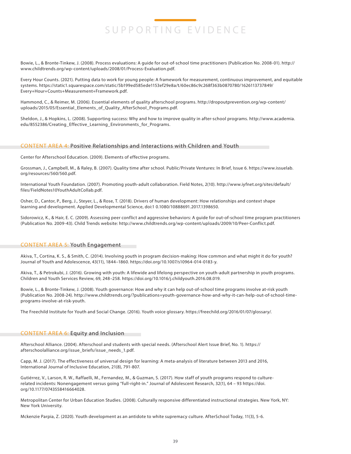Bowie, L., & Bronte-Tinkew, J. (2008). Process evaluations: A guide for out-of-school time practitioners (Publication No. 2008-01). http:// www.childtrends.org/wp-content/uploads/2008/01/Process-Evaluation.pdf.

Every Hour Counts. (2021). Putting data to work for young people: A framework for measurement, continuous improvement, and equitable systems. https://static1.squarespace.com/static/5b199ed585ede1153ef29e8a/t/60ec86c9c268f363b0870780/1626113737849/ Every+Hour+Counts+Measurement+Framework.pdf.

Hammond, C., & Reimer, M. (2006). Essential elements of quality afterschool programs. http://dropoutprevention.org/wp-content/ uploads/2015/05/Essential\_Elements\_of\_Quality\_AfterSchool\_Programs.pdf.

Sheldon, J., & Hopkins, L. (2008). Supporting success: Why and how to improve quality in after-school programs. http://www.academia. edu/8552386/Creating\_Effective\_Learning\_Environments\_for\_Programs.

#### CONTENT AREA 4: Positive Relationships and Interactions with Children and Youth

Center for Afterschool Education. (2009). Elements of effective programs.

Grossman, J., Campbell, M., & Raley, B. (2007). Quality time after school. Public/Private Ventures: In Brief, Issue 6. https://www.issuelab. org/resources/560/560.pdf.

International Youth Foundation. (2007). Promoting youth-adult collaboration. Field Notes, 2(10). http://www.iyfnet.org/sites/default/ files/FieldNotes10YouthAdultCollab.pdf.

Osher, D., Cantor, P., Berg, J., Steyer, L., & Rose, T. (2018). Drivers of human development: How relationships and context shape learning and development. Applied Developmental Science, doi:1 0.1080/10888691.2017.1398650.

Sidorowicz, K., & Hair, E. C. (2009). Assessing peer conflict and aggressive behaviors: A guide for out-of-school time program practitioners (Publication No. 2009-43). Child Trends website: http://www.childtrends.org/wp-content/uploads/2009/10/Peer-Conflict.pdf.

#### CONTENT AREA 5: Youth Engagement

Akiva, T., Cortina, K. S., & Smith, C. (2014). Involving youth in program decision-making: How common and what might it do for youth? Journal of Youth and Adolescence, 43(11), 1844–1860. https://doi.org/10.1007/s10964-014-0183-y.

Akiva, T., & Petrokubi, J. (2016). Growing with youth: A lifewide and lifelong perspective on youth-adult partnership in youth programs. Children and Youth Services Review, 69, 248–258. https://doi.org/10.1016/j.childyouth.2016.08.019.

Bowie, L., & Bronte-Tinkew, J. (2008). Youth governance: How and why it can help out-of-school time programs involve at-risk youth (Publication No. 2008-24). http://www.childtrends.org/?publications=youth-governance-how-and-why-it-can-help-out-of-school-timeprograms-involve-at-risk-youth.

The Freechild Institute for Youth and Social Change. (2016). Youth voice glossary. https://freechild.org/2016/01/07/glossary/.

#### CONTENT AREA 6: Equity and Inclusion

Afterschool Alliance. (2004). Afterschool and students with special needs. (Afterschool Alert Issue Brief, No. 1). https:// afterschoolalliance.org/issue\_briefs/issue\_needs\_1.pdf.

Capp, M. J. (2017). The effectiveness of universal design for learning: A meta-analysis of literature between 2013 and 2016, International Journal of Inclusive Education, 21(8), 791-807.

Gutiérrez, V., Larson, R. W., Raffaelli, M., Fernandez, M., & Guzman, S. (2017). How staff of youth programs respond to culturerelated incidents: Nonengagement versus going "full-right-in." Journal of Adolescent Research, 32(1), 64 – 93 https://doi. org/10.1177/0743558416664028.

Metropolitan Center for Urban Education Studies. (2008). Culturally responsive differentiated instructional strategies. New York, NY: New York University.

Mckenzie Parpia, Z. (2020). Youth development as an antidote to white supremacy culture. AfterSchool Today, 11(3), 5-6.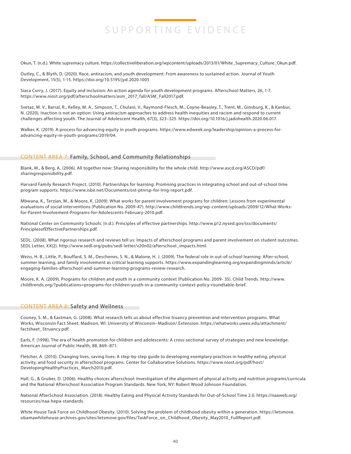Okun, T. (n.d.). White supremacy culture. https://collectiveliberation.org/wpcontent/uploads/2013/01/White\_Supremacy\_Culture\_Okun.pdf.

Outley, C., & Blyth, D. (2020). Race, antiracism, and youth development: From awareness to sustained action. Journal of Youth Development, 15(5), 1-15. https://doi.org/10.5195/jyd.2020.1005

Siaca Curry, J. (2017). Equity and inclusion: An action agenda for youth development programs. Afterschool Matters, 26, 1-7. https://www.niost.org/pdf/afterschoolmatters/asm\_2017\_fall/ASM\_Fall2017.pdf.

Svetaz, M. V., Barral, R., Kelley, M. A., Simpson, T., Chulani, V., Raymond-Flesch, M., Coyne-Beasley, T., Trent, M., Ginsburg, K., & Kanbur, N. (2020). Inaction is not an option: Using antiracism approaches to address health inequities and racism and respond to current challenges affecting youth. The Journal of Adolescent Health, 67(3), 323–325. https://doi.org/10.1016/j.jadohealth.2020.06.017.

Walker, K. (2019). A process for advancing equity in youth programs. https://www.edweek.org/leadership/opinion-a-process-foradvancing-equity-in-youth-programs/2019/04.

#### CONTENT AREA 7: Family, School, and Community Relationships

Blank, M., & Berg, A. (2006). All together now: Sharing responsibility for the whole child. http://www.ascd.org/ASCD/pdf/ sharingresponsibility.pdf.

Harvard Family Research Project. (2010). Partnerships for learning: Promising practices in integrating school and out-of-school time program supports. https://www.isbe.net/Documents/ost-ptnrsp-for-lrng-report.pdf.

Mbwana, K., Terzian, M., & Moore, K. (2009). What works for parent involvement programs for children: Lessons from experimental evaluations of social interventions (Publication No. 2009-47). http://www.childtrends.org/wp-content/uploads/2009/12/What-Worksfor-Parent-Involvement-Programs-for-Adolescents-February-2010.pdf.

National Center on Community Schools. (n.d.). Principles of effective partnerships. http://www.p12.nysed.gov/sss/documents/ PrinciplesofEffectivePartnerships.pdf.

SEDL. (2008). What rigorous research and reviews tell us: Impacts of afterschool programs and parent involvement on student outcomes. SEDL Letter, XX(2). http://www.sedl.org/pubs/sedl-letter/v20n02/afterschool\_impacts.html.

Weiss, H. B., Little, P., Bouffard, S. M., Deschenes, S. N., & Malone, H. J. (2009). The federal role in out-of-school learning: After-school, summer learning, and family involvement as critical learning supports. https://www.expandinglearning.org/expandingminds/article/ engaging-families-afterschool-and-summer-learning-programs-review-research.

Moore, K. A. (2009). Programs for children and youth in a community context (Publication No. 2009- 35). Child Trends. http://www. childtrends.org/?publications=programs-for-children-youth-in-a-community-context-policy-roundtable-brief.

#### CONTENT AREA 8: Safety and Wellness

Cooney, S. M., & Eastman, G. (2008). What research tells us about effective truancy prevention and intervention programs. What Works, Wisconsin Fact Sheet. Madison, WI: University of Wisconsin–Madison/ Extension. https://whatworks.uwex.edu/attachment/ factsheet\_5truancy.pdf.

Earls, F. (1998). The era of health promotion for children and adolescents: A cross-sectional survey of strategies and new knowledge. American Journal of Public Health, 88, 869–871.

Fletcher, A. (2010). Changing lives, saving lives: A step-by-step guide to developing exemplary practices in healthy eating, physical activity, and food security in afterschool programs. Center for Collaborative Solutions. https://www.niost.org/pdf/host/ DevelopingHealthyPractices\_March2010.pdf.

Hall, G., & Gruber, D. (2006). Healthy choices afterschool: Investigation of the alignment of physical activity and nutrition programs/curricula and the National Afterschool Association Program Standards. New York, NY: Robert Wood Johnson Foundation.

National AfterSchool Association. (2018). Healthy Eating and Physical Activity Standards for Out-of-School Time 2.0. https://naaweb.org/ resources/naa-hepa-standards.

White House Task Force on Childhood Obesity. (2010). Solving the problem of childhood obesity within a generation. https://letsmove. obamawhitehouse.archives.gov/sites/letsmove.gov/files/TaskForce\_on\_Childhood\_Obesity\_May2010\_FullReport.pdf.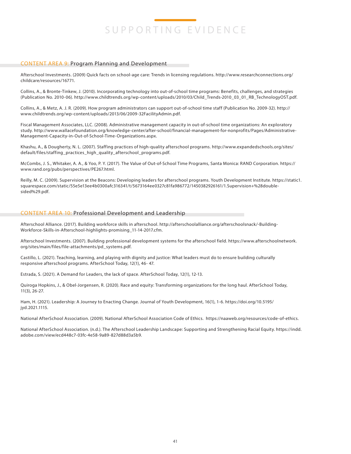#### CONTENT AREA 9: Program Planning and Development

Afterschool Investments. (2009) Quick facts on school-age care: Trends in licensing regulations. http://www.researchconnections.org/ childcare/resources/16771.

Collins, A., & Bronte-Tinkew, J. (2010). Incorporating technology into out-of-school time programs: Benefits, challenges, and strategies (Publication No. 2010-06). http://www.childtrends.org/wp-content/uploads/2010/03/Child\_Trends-2010\_03\_01\_RB\_TechnologyOST.pdf.

Collins, A., & Metz, A. J. R. (2009). How program administrators can support out-of-school time staff (Publication No. 2009-32). http:// www.childtrends.org/wp-content/uploads/2013/06/2009-32FacilityAdmin.pdf.

Fiscal Management Associates, LLC. (2008). Administrative management capacity in out-of-school time organizations: An exploratory study. http://www.wallacefoundation.org/knowledge-center/after-school/financial-management-for-nonprofits/Pages/Administrative-Management-Capacity-in-Out-of-School-Time-Organizations.aspx.

Khashu, A., & Dougherty, N. L. (2007). Staffing practices of high-quality afterschool programs. http://www.expandedschools.org/sites/ default/files/staffing\_practices\_high\_quality\_afterschool\_programs.pdf.

McCombs, J. S., Whitaker, A. A., & Yoo, P. Y. (2017). The Value of Out-of-School Time Programs, Santa Monica: RAND Corporation. https:// www.rand.org/pubs/perspectives/PE267.html.

Reilly, M. C. (2009). Supervision at the Beacons: Developing leaders for afterschool programs. Youth Development Institute. https://static1. squarespace.com/static/55e5e13ee4b0300afc316341/t/5673164ee0327c81fa986772/1450382926161/1.Supervision+%28doublesided%29.pdf.

#### CONTENT AREA 10: Professional Development and Leadership

Afterschool Alliance. (2017). Building workforce skills in afterschool. http://afterschoolalliance.org/afterschoolsnack/-Building-Workforce-Skills-in-Afterschool-highlights-promising\_11-14-2017.cfm.

Afterschool Investments. (2007). Building professional development systems for the afterschool field. https://www.afterschoolnetwork. org/sites/main/files/file-attachments/pd\_systems.pdf.

Castillo, L. (2021). Teaching, learning, and playing with dignity and justice: What leaders must do to ensure building culturally responsive afterschool programs. AfterSchool Today, 12(1), 46- 47.

Estrada, S. (2021). A Demand for Leaders, the lack of space. AfterSchool Today, 12(1), 12-13.

Quiroga Hopkins, J., & Obel-Jorgensen, R. (2020). Race and equity: Transforming organizations for the long haul. AfterSchool Today, 11(3), 26-27.

Ham, H. (2021). Leadership: A Journey to Enacting Change. Journal of Youth Development, 16(1), 1-6. https://doi.org/10.5195/ jyd.2021.1115.

National AfterSchool Association. (2009). National AfterSchool Association Code of Ethics. https://naaweb.org/resources/code-of-ethics.

National AfterSchool Association. (n.d.). The Afterschool Leadership Landscape: Supporting and Strengthening Racial Equity. https://indd. adobe.com/view/ecd448c7-03fc-4e58-9a89-827d88d3a5b9.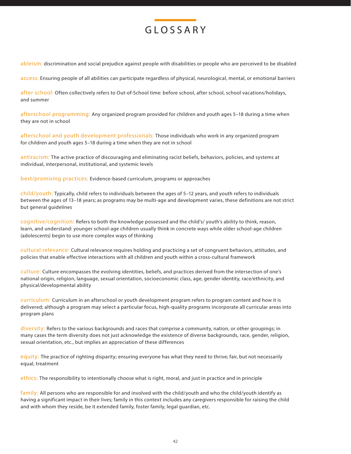

ableism: discrimination and social prejudice against people with disabilities or people who are perceived to be disabled

access: Ensuring people of all abilities can participate regardless of physical, neurological, mental, or emotional barriers

after school: Often collectively refers to Out-of-School time: before school, after school, school vacations/holidays, and summer

afterschool programming: Any organized program provided for children and youth ages 5–18 during a time when they are not in school

afterschool and youth development professionals: Those individuals who work in any organized program for children and youth ages 5–18 during a time when they are not in school

antiracism: The active practice of discouraging and eliminating racist beliefs, behaviors, policies, and systems at individual, interpersonal, institutional, and systemic levels

best/promising practices: Evidence-based curriculum, programs or approaches

child/youth: Typically, child refers to individuals between the ages of 5–12 years, and youth refers to individuals between the ages of 13–18 years; as programs may be multi-age and development varies, these definitions are not strict but general guidelines

cognitive/cognition: Refers to both the knowledge possessed and the child's/ youth's ability to think, reason, learn, and understand: younger school-age children usually think in concrete ways while older school-age children (adolescents) begin to use more complex ways of thinking

cultural relevance: Cultural relevance requires holding and practicing a set of congruent behaviors, attitudes, and policies that enable effective interactions with all children and youth within a cross-cultural framework

culture: Culture encompasses the evolving identities, beliefs, and practices derived from the intersection of one's national origin, religion, language, sexual orientation, socioeconomic class, age, gender identity, race/ethnicity, and physical/developmental ability

curriculum: Curriculum in an afterschool or youth development program refers to program content and how it is delivered; although a program may select a particular focus, high-quality programs incorporate all curricular areas into program plans

diversity: Refers to the various backgrounds and races that comprise a community, nation, or other groupings; in many cases the term diversity does not just acknowledge the existence of diverse backgrounds, race, gender, religion, sexual orientation, etc., but implies an appreciation of these differences

equity: The practice of righting disparity; ensuring everyone has what they need to thrive; fair, but not necessarily equal, treatment

ethics: The responsibility to intentionally choose what is right, moral, and just in practice and in principle

family: All persons who are responsible for and involved with the child/youth and who the child/youth identify as having a significant impact in their lives; family in this context includes any caregivers responsible for raising the child and with whom they reside, be it extended family, foster family, legal guardian, etc.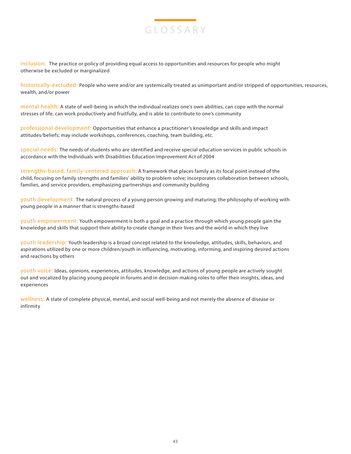

inclusion: The practice or policy of providing equal access to opportunities and resources for people who might otherwise be excluded or marginalized

historically-excluded: People who were and/or are systemically treated as unimportant and/or stripped of opportunities, resources, wealth, and/or power

mental health: A state of well-being in which the individual realizes one's own abilities, can cope with the normal stresses of life, can work productively and fruitfully, and is able to contribute to one's community

professional development: Opportunities that enhance a practitioner's knowledge and skills and impact attitudes/beliefs; may include workshops, conferences, coaching, team building, etc.

special needs: The needs of students who are identified and receive special education services in public schools in accordance with the Individuals with Disabilities Education Improvement Act of 2004

strengths-based, family-centered approach: A framework that places family as its focal point instead of the child, focusing on family strengths and families' ability to problem solve; incorporates collaboration between schools, families, and service providers, emphasizing partnerships and community building

youth development: The natural process of a young person growing and maturing; the philosophy of working with young people in a manner that is strengths-based

youth empowerment: Youth empowerment is both a goal and a practice through which young people gain the knowledge and skills that support their ability to create change in their lives and the world in which they live

youth leadership: Youth leadership is a broad concept related to the knowledge, attitudes, skills, behaviors, and aspirations utilized by one or more children/youth in influencing, motivating, informing, and inspiring desired actions and reactions by others

youth voice: Ideas, opinions, experiences, attitudes, knowledge, and actions of young people are actively sought out and vocalized by placing young people in forums and in decision-making roles to offer their insights, ideas, and experiences

wellness: A state of complete physical, mental, and social well-being and not merely the absence of disease or infirmity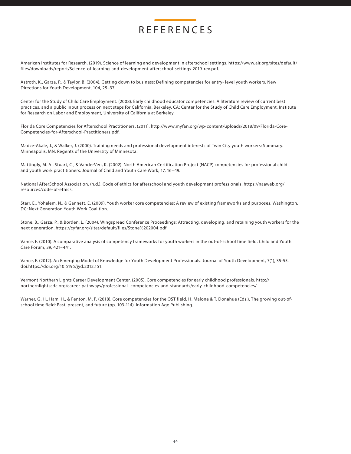# REFERENCES

American Institutes for Research. (2019). Science of learning and development in afterschool settings. https://www.air.org/sites/default/ files/downloads/report/Science-of-learning-and-development-afterschool-settings-2019-rev.pdf.

Astroth, K., Garza, P., & Taylor, B. (2004). Getting down to business: Defining competencies for entry- level youth workers. New Directions for Youth Development, 104, 25–37.

Center for the Study of Child Care Employment. (2008). Early childhood educator competencies: A literature review of current best practices, and a public input process on next steps for California. Berkeley, CA: Center for the Study of Child Care Employment, Institute for Research on Labor and Employment, University of California at Berkeley.

Florida Core Competencies for Afterschool Practitioners. (2011). http://www.myfan.org/wp-content/uploads/2018/09/Florida-Core-Competencies-for-Afterschool-Practitioners.pdf.

Madze-Akale, J., & Walker, J. (2000). Training needs and professional development interests of Twin City youth workers: Summary. Minneapolis, MN: Regents of the University of Minnesota.

Mattingly, M. A., Stuart, C., & VanderVen, K. (2002). North American Certification Project (NACP) competencies for professional child and youth work practitioners. Journal of Child and Youth Care Work, 17, 16–49.

National AfterSchool Association. (n.d.). Code of ethics for afterschool and youth development professionals. https://naaweb.org/ resources/code-of-ethics.

Starr, E., Yohalem, N., & Gannett, E. (2009). Youth worker core competencies: A review of existing frameworks and purposes. Washington, DC: Next Generation Youth Work Coalition.

Stone, B., Garza, P., & Borden, L. (2004). Wingspread Conference Proceedings: Attracting, developing, and retaining youth workers for the next generation. https://cyfar.org/sites/default/files/Stone%202004.pdf.

Vance, F. (2010). A comparative analysis of competency frameworks for youth workers in the out-of-school time field. Child and Youth Care Forum, 39, 421–441.

Vance, F. (2012). An Emerging Model of Knowledge for Youth Development Professionals. Journal of Youth Development, 7(1), 35-55. doi:https://doi.org/10.5195/jyd.2012.151.

Vermont Northern Lights Career Development Center. (2005). Core competencies for early childhood professionals. http:// northernlightscdc.org/career-pathways/professional- competencies-and-standards/early-childhood-competencies/

Warner, G. H., Ham, H., & Fenton, M. P. (2018). Core competencies for the OST field. H. Malone & T. Donahue (Eds.), The growing out-ofschool time field: Past, present, and future (pp. 103-114). Information Age Publishing.